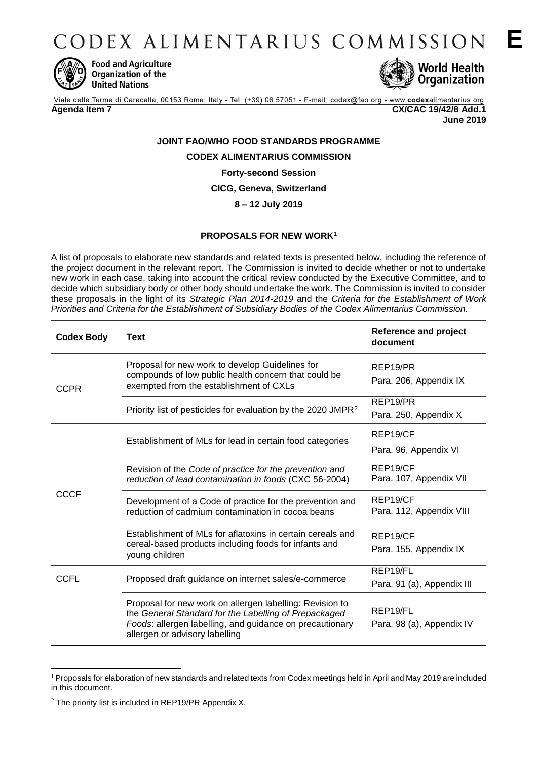CODEX ALIMENTARIUS COMMISSION



**Food and Agriculture** Organization of the **United Nations** 



Viale delle Terme di Caracalla, 00153 Rome, Italy - Tel: (+39) 06 57051 - E-mail: codex@fao.org - www.codexalimentarius.org

**Agenda Item 7 CX/CAC 19/42/8 Add.1 June 2019**

# **JOINT FAO/WHO FOOD STANDARDS PROGRAMME CODEX ALIMENTARIUS COMMISSION Forty-second Session**

**CICG, Geneva, Switzerland**

**8 – 12 July 2019** 

# **PROPOSALS FOR NEW WORK<sup>1</sup>**

A list of proposals to elaborate new standards and related texts is presented below, including the reference of the project document in the relevant report. The Commission is invited to decide whether or not to undertake new work in each case, taking into account the critical review conducted by the Executive Committee, and to decide which subsidiary body or other body should undertake the work. The Commission is invited to consider these proposals in the light of its *Strategic Plan 2014-2019* and the *Criteria for the Establishment of Work Priorities and Criteria for the Establishment of Subsidiary Bodies of the Codex Alimentarius Commission.*

| <b>Codex Body</b> | <b>Text</b>                                                                                                                                                                                                     | <b>Reference and project</b><br>document           |
|-------------------|-----------------------------------------------------------------------------------------------------------------------------------------------------------------------------------------------------------------|----------------------------------------------------|
| <b>CCPR</b>       | Proposal for new work to develop Guidelines for<br>compounds of low public health concern that could be<br>exempted from the establishment of CXLs                                                              | REP19/PR<br>Para. 206, Appendix IX                 |
|                   | Priority list of pesticides for evaluation by the 2020 JMPR <sup>2</sup>                                                                                                                                        | REP19/PR<br>Para. 250, Appendix X                  |
| <b>CCCF</b>       | Establishment of MLs for lead in certain food categories                                                                                                                                                        | REP19/CF<br>Para. 96, Appendix VI                  |
|                   | Revision of the Code of practice for the prevention and<br>reduction of lead contamination in foods (CXC 56-2004)                                                                                               | REP19/CF<br>Para. 107, Appendix VII                |
|                   | Development of a Code of practice for the prevention and<br>reduction of cadmium contamination in cocoa beans                                                                                                   | REP19/CF<br>Para. 112, Appendix VIII               |
|                   | Establishment of MLs for aflatoxins in certain cereals and<br>cereal-based products including foods for infants and<br>young children                                                                           | REP19/CF<br>Para. 155, Appendix IX                 |
| <b>CCFL</b>       | Proposed draft guidance on internet sales/e-commerce                                                                                                                                                            | REP19/FL<br>Para. 91 (a), Appendix III             |
|                   | Proposal for new work on allergen labelling: Revision to<br>the General Standard for the Labelling of Prepackaged<br>Foods: allergen labelling, and guidance on precautionary<br>allergen or advisory labelling | REP <sub>19</sub> /FL<br>Para. 98 (a), Appendix IV |

<sup>1</sup> <sup>1</sup> Proposals for elaboration of new standards and related texts from Codex meetings held in April and May 2019 are included in this document.

 $2$  The priority list is included in REP19/PR Appendix X.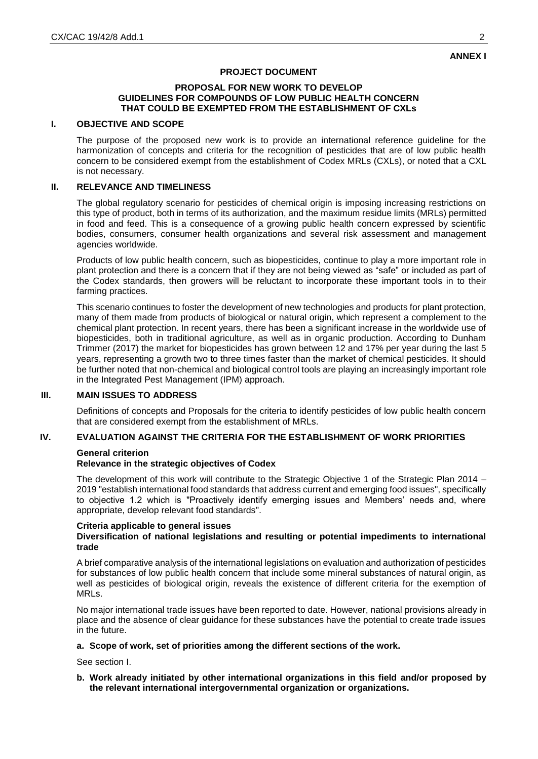## **PROJECT DOCUMENT**

#### **PROPOSAL FOR NEW WORK TO DEVELOP GUIDELINES FOR COMPOUNDS OF LOW PUBLIC HEALTH CONCERN THAT COULD BE EXEMPTED FROM THE ESTABLISHMENT OF CXLs**

#### **I. OBJECTIVE AND SCOPE**

The purpose of the proposed new work is to provide an international reference guideline for the harmonization of concepts and criteria for the recognition of pesticides that are of low public health concern to be considered exempt from the establishment of Codex MRLs (CXLs), or noted that a CXL is not necessary.

#### **II. RELEVANCE AND TIMELINESS**

The global regulatory scenario for pesticides of chemical origin is imposing increasing restrictions on this type of product, both in terms of its authorization, and the maximum residue limits (MRLs) permitted in food and feed. This is a consequence of a growing public health concern expressed by scientific bodies, consumers, consumer health organizations and several risk assessment and management agencies worldwide.

Products of low public health concern, such as biopesticides, continue to play a more important role in plant protection and there is a concern that if they are not being viewed as "safe" or included as part of the Codex standards, then growers will be reluctant to incorporate these important tools in to their farming practices.

This scenario continues to foster the development of new technologies and products for plant protection, many of them made from products of biological or natural origin, which represent a complement to the chemical plant protection. In recent years, there has been a significant increase in the worldwide use of biopesticides, both in traditional agriculture, as well as in organic production. According to Dunham Trimmer (2017) the market for biopesticides has grown between 12 and 17% per year during the last 5 years, representing a growth two to three times faster than the market of chemical pesticides. It should be further noted that non-chemical and biological control tools are playing an increasingly important role in the Integrated Pest Management (IPM) approach.

#### **III. MAIN ISSUES TO ADDRESS**

Definitions of concepts and Proposals for the criteria to identify pesticides of low public health concern that are considered exempt from the establishment of MRLs.

#### **IV. EVALUATION AGAINST THE CRITERIA FOR THE ESTABLISHMENT OF WORK PRIORITIES**

#### **General criterion**

### **Relevance in the strategic objectives of Codex**

The development of this work will contribute to the Strategic Objective 1 of the Strategic Plan 2014 – 2019 "establish international food standards that address current and emerging food issues", specifically to objective 1.2 which is "Proactively identify emerging issues and Members' needs and, where appropriate, develop relevant food standards".

#### **Criteria applicable to general issues Diversification of national legislations and resulting or potential impediments to international trade**

A brief comparative analysis of the international legislations on evaluation and authorization of pesticides for substances of low public health concern that include some mineral substances of natural origin, as well as pesticides of biological origin, reveals the existence of different criteria for the exemption of MRLs.

No major international trade issues have been reported to date. However, national provisions already in place and the absence of clear guidance for these substances have the potential to create trade issues in the future.

#### **a. Scope of work, set of priorities among the different sections of the work.**

See section I.

**b. Work already initiated by other international organizations in this field and/or proposed by the relevant international intergovernmental organization or organizations.**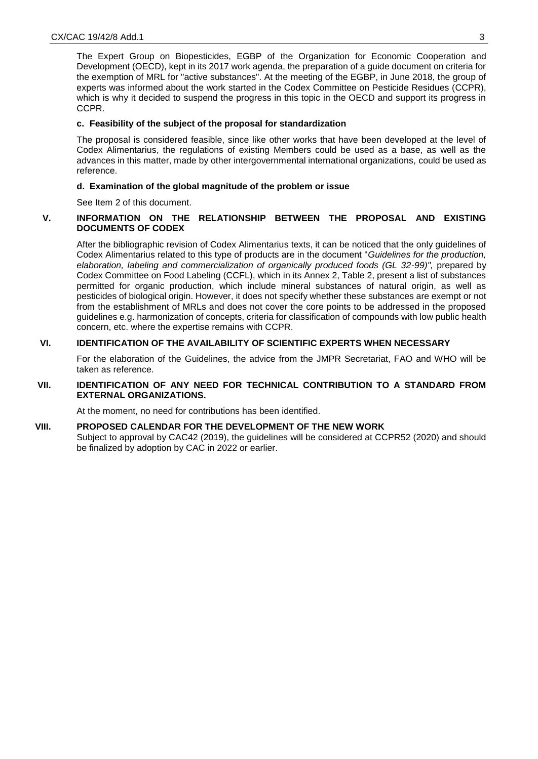The Expert Group on Biopesticides, EGBP of the Organization for Economic Cooperation and Development (OECD), kept in its 2017 work agenda, the preparation of a guide document on criteria for the exemption of MRL for "active substances". At the meeting of the EGBP, in June 2018, the group of experts was informed about the work started in the Codex Committee on Pesticide Residues (CCPR), which is why it decided to suspend the progress in this topic in the OECD and support its progress in CCPR.

#### **c. Feasibility of the subject of the proposal for standardization**

The proposal is considered feasible, since like other works that have been developed at the level of Codex Alimentarius, the regulations of existing Members could be used as a base, as well as the advances in this matter, made by other intergovernmental international organizations, could be used as reference.

### **d. Examination of the global magnitude of the problem or issue**

See Item 2 of this document.

## **V. INFORMATION ON THE RELATIONSHIP BETWEEN THE PROPOSAL AND EXISTING DOCUMENTS OF CODEX**

After the bibliographic revision of Codex Alimentarius texts, it can be noticed that the only guidelines of Codex Alimentarius related to this type of products are in the document "*Guidelines for the production, elaboration, labeling and commercialization of organically produced foods (GL 32-99)",* prepared by Codex Committee on Food Labeling (CCFL), which in its Annex 2, Table 2, present a list of substances permitted for organic production, which include mineral substances of natural origin, as well as pesticides of biological origin. However, it does not specify whether these substances are exempt or not from the establishment of MRLs and does not cover the core points to be addressed in the proposed guidelines e.g. harmonization of concepts, criteria for classification of compounds with low public health concern, etc. where the expertise remains with CCPR.

## **VI. IDENTIFICATION OF THE AVAILABILITY OF SCIENTIFIC EXPERTS WHEN NECESSARY**

For the elaboration of the Guidelines, the advice from the JMPR Secretariat, FAO and WHO will be taken as reference.

### **VII. IDENTIFICATION OF ANY NEED FOR TECHNICAL CONTRIBUTION TO A STANDARD FROM EXTERNAL ORGANIZATIONS.**

At the moment, no need for contributions has been identified.

#### **VIII. PROPOSED CALENDAR FOR THE DEVELOPMENT OF THE NEW WORK**

Subject to approval by CAC42 (2019), the guidelines will be considered at CCPR52 (2020) and should be finalized by adoption by CAC in 2022 or earlier.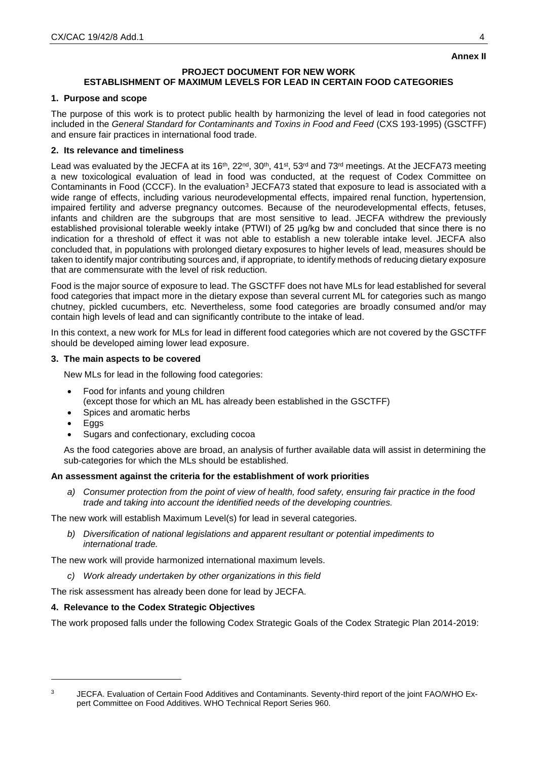#### **PROJECT DOCUMENT FOR NEW WORK ESTABLISHMENT OF MAXIMUM LEVELS FOR LEAD IN CERTAIN FOOD CATEGORIES**

## **1. Purpose and scope**

The purpose of this work is to protect public health by harmonizing the level of lead in food categories not included in the *General Standard for Contaminants and Toxins in Food and Feed* (CXS 193-1995) (GSCTFF) and ensure fair practices in international food trade.

## **2. Its relevance and timeliness**

Lead was evaluated by the JECFA at its 16<sup>th</sup>, 22<sup>nd</sup>, 30<sup>th</sup>, 41<sup>st</sup>, 53<sup>rd</sup> and 73<sup>rd</sup> meetings. At the JECFA73 meeting a new toxicological evaluation of lead in food was conducted, at the request of Codex Committee on Contaminants in Food (CCCF). In the evaluation<sup>3</sup> JECFA73 stated that exposure to lead is associated with a wide range of effects, including various neurodevelopmental effects, impaired renal function, hypertension, impaired fertility and adverse pregnancy outcomes. Because of the neurodevelopmental effects, fetuses, infants and children are the subgroups that are most sensitive to lead. JECFA withdrew the previously established provisional tolerable weekly intake (PTWI) of 25 μg/kg bw and concluded that since there is no indication for a threshold of effect it was not able to establish a new tolerable intake level. JECFA also concluded that, in populations with prolonged dietary exposures to higher levels of lead, measures should be taken to identify major contributing sources and, if appropriate, to identify methods of reducing dietary exposure that are commensurate with the level of risk reduction.

Food is the major source of exposure to lead. The GSCTFF does not have MLs for lead established for several food categories that impact more in the dietary expose than several current ML for categories such as mango chutney, pickled cucumbers, etc. Nevertheless, some food categories are broadly consumed and/or may contain high levels of lead and can significantly contribute to the intake of lead.

In this context, a new work for MLs for lead in different food categories which are not covered by the GSCTFF should be developed aiming lower lead exposure.

## **3. The main aspects to be covered**

New MLs for lead in the following food categories:

- Food for infants and young children
	- (except those for which an ML has already been established in the GSCTFF)
- Spices and aromatic herbs
- Eggs
- Sugars and confectionary, excluding cocoa

As the food categories above are broad, an analysis of further available data will assist in determining the sub-categories for which the MLs should be established.

# **An assessment against the criteria for the establishment of work priorities**

*a) Consumer protection from the point of view of health, food safety, ensuring fair practice in the food trade and taking into account the identified needs of the developing countries.*

The new work will establish Maximum Level(s) for lead in several categories.

*b) Diversification of national legislations and apparent resultant or potential impediments to international trade.*

The new work will provide harmonized international maximum levels.

*c) Work already undertaken by other organizations in this field*

The risk assessment has already been done for lead by JECFA.

# **4. Relevance to the Codex Strategic Objectives**

The work proposed falls under the following Codex Strategic Goals of the Codex Strategic Plan 2014-2019:

<sup>1</sup> 

<sup>&</sup>lt;sup>3</sup> JECFA. Evaluation of Certain Food Additives and Contaminants. Seventy-third report of the joint FAO/WHO Expert Committee on Food Additives. WHO Technical Report Series 960.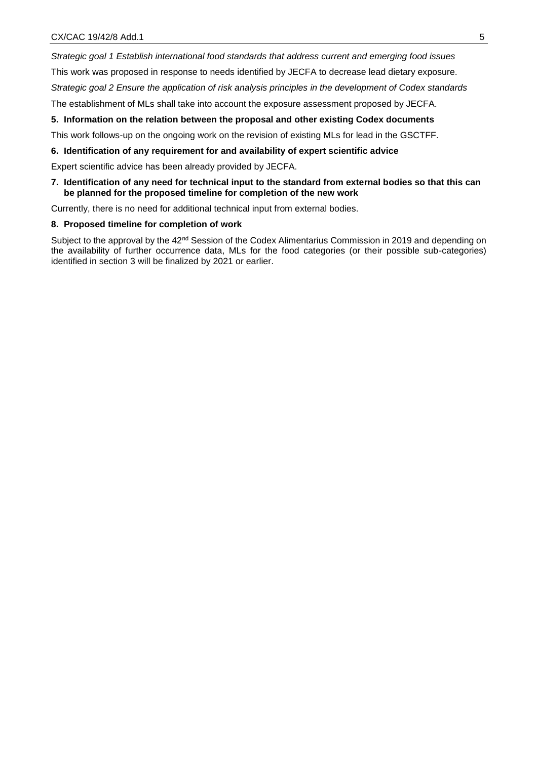*Strategic goal 1 Establish international food standards that address current and emerging food issues*

This work was proposed in response to needs identified by JECFA to decrease lead dietary exposure.

*Strategic goal 2 Ensure the application of risk analysis principles in the development of Codex standards*

The establishment of MLs shall take into account the exposure assessment proposed by JECFA.

## **5. Information on the relation between the proposal and other existing Codex documents**

This work follows-up on the ongoing work on the revision of existing MLs for lead in the GSCTFF.

## **6. Identification of any requirement for and availability of expert scientific advice**

Expert scientific advice has been already provided by JECFA.

## **7. Identification of any need for technical input to the standard from external bodies so that this can be planned for the proposed timeline for completion of the new work**

Currently, there is no need for additional technical input from external bodies.

#### **8. Proposed timeline for completion of work**

Subject to the approval by the 42<sup>nd</sup> Session of the Codex Alimentarius Commission in 2019 and depending on the availability of further occurrence data, MLs for the food categories (or their possible sub-categories) identified in section 3 will be finalized by 2021 or earlier.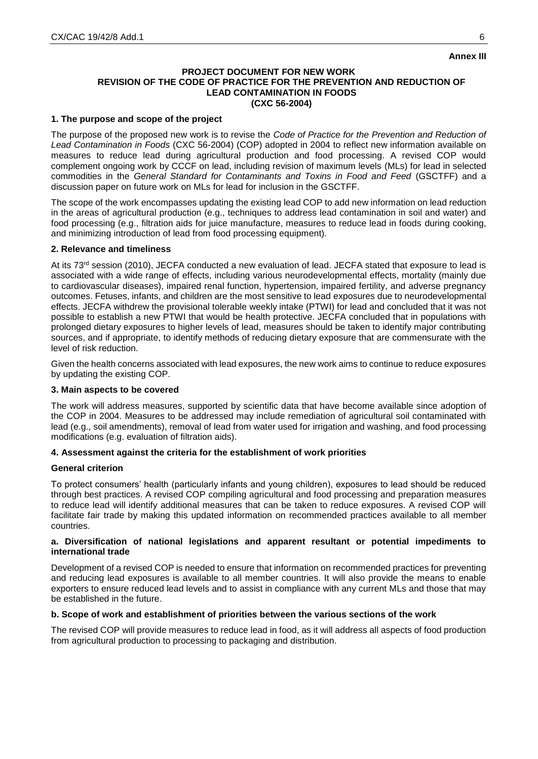## **Annex III**

#### **PROJECT DOCUMENT FOR NEW WORK REVISION OF THE CODE OF PRACTICE FOR THE PREVENTION AND REDUCTION OF LEAD CONTAMINATION IN FOODS (CXC 56-2004)**

## **1. The purpose and scope of the project**

The purpose of the proposed new work is to revise the *Code of Practice for the Prevention and Reduction of Lead Contamination in Foods* (CXC 56-2004) (COP) adopted in 2004 to reflect new information available on measures to reduce lead during agricultural production and food processing. A revised COP would complement ongoing work by CCCF on lead, including revision of maximum levels (MLs) for lead in selected commodities in the *General Standard for Contaminants and Toxins in Food and Feed* (GSCTFF) and a discussion paper on future work on MLs for lead for inclusion in the GSCTFF.

The scope of the work encompasses updating the existing lead COP to add new information on lead reduction in the areas of agricultural production (e.g., techniques to address lead contamination in soil and water) and food processing (e.g., filtration aids for juice manufacture, measures to reduce lead in foods during cooking, and minimizing introduction of lead from food processing equipment).

### **2. Relevance and timeliness**

At its 73<sup>rd</sup> session (2010), JECFA conducted a new evaluation of lead. JECFA stated that exposure to lead is associated with a wide range of effects, including various neurodevelopmental effects, mortality (mainly due to cardiovascular diseases), impaired renal function, hypertension, impaired fertility, and adverse pregnancy outcomes. Fetuses, infants, and children are the most sensitive to lead exposures due to neurodevelopmental effects. JECFA withdrew the provisional tolerable weekly intake (PTWI) for lead and concluded that it was not possible to establish a new PTWI that would be health protective. JECFA concluded that in populations with prolonged dietary exposures to higher levels of lead, measures should be taken to identify major contributing sources, and if appropriate, to identify methods of reducing dietary exposure that are commensurate with the level of risk reduction.

Given the health concerns associated with lead exposures, the new work aims to continue to reduce exposures by updating the existing COP.

## **3. Main aspects to be covered**

The work will address measures, supported by scientific data that have become available since adoption of the COP in 2004. Measures to be addressed may include remediation of agricultural soil contaminated with lead (e.g., soil amendments), removal of lead from water used for irrigation and washing, and food processing modifications (e.g. evaluation of filtration aids).

#### **4. Assessment against the criteria for the establishment of work priorities**

#### **General criterion**

To protect consumers' health (particularly infants and young children), exposures to lead should be reduced through best practices. A revised COP compiling agricultural and food processing and preparation measures to reduce lead will identify additional measures that can be taken to reduce exposures. A revised COP will facilitate fair trade by making this updated information on recommended practices available to all member countries.

#### **a. Diversification of national legislations and apparent resultant or potential impediments to international trade**

Development of a revised COP is needed to ensure that information on recommended practices for preventing and reducing lead exposures is available to all member countries. It will also provide the means to enable exporters to ensure reduced lead levels and to assist in compliance with any current MLs and those that may be established in the future.

## **b. Scope of work and establishment of priorities between the various sections of the work**

The revised COP will provide measures to reduce lead in food, as it will address all aspects of food production from agricultural production to processing to packaging and distribution.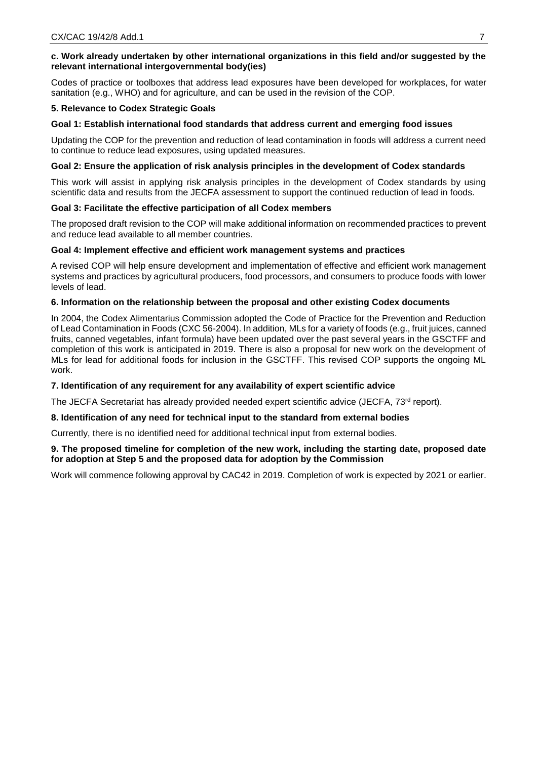## **c. Work already undertaken by other international organizations in this field and/or suggested by the relevant international intergovernmental body(ies)**

Codes of practice or toolboxes that address lead exposures have been developed for workplaces, for water sanitation (e.g., WHO) and for agriculture, and can be used in the revision of the COP.

### **5. Relevance to Codex Strategic Goals**

### **Goal 1: Establish international food standards that address current and emerging food issues**

Updating the COP for the prevention and reduction of lead contamination in foods will address a current need to continue to reduce lead exposures, using updated measures.

### **Goal 2: Ensure the application of risk analysis principles in the development of Codex standards**

This work will assist in applying risk analysis principles in the development of Codex standards by using scientific data and results from the JECFA assessment to support the continued reduction of lead in foods.

### **Goal 3: Facilitate the effective participation of all Codex members**

The proposed draft revision to the COP will make additional information on recommended practices to prevent and reduce lead available to all member countries.

### **Goal 4: Implement effective and efficient work management systems and practices**

A revised COP will help ensure development and implementation of effective and efficient work management systems and practices by agricultural producers, food processors, and consumers to produce foods with lower levels of lead.

## **6. Information on the relationship between the proposal and other existing Codex documents**

In 2004, the Codex Alimentarius Commission adopted the Code of Practice for the Prevention and Reduction of Lead Contamination in Foods (CXC 56-2004). In addition, MLs for a variety of foods (e.g., fruit juices, canned fruits, canned vegetables, infant formula) have been updated over the past several years in the GSCTFF and completion of this work is anticipated in 2019. There is also a proposal for new work on the development of MLs for lead for additional foods for inclusion in the GSCTFF. This revised COP supports the ongoing ML work.

#### **7. Identification of any requirement for any availability of expert scientific advice**

The JECFA Secretariat has already provided needed expert scientific advice (JECFA, 73<sup>rd</sup> report).

#### **8. Identification of any need for technical input to the standard from external bodies**

Currently, there is no identified need for additional technical input from external bodies.

## **9. The proposed timeline for completion of the new work, including the starting date, proposed date for adoption at Step 5 and the proposed data for adoption by the Commission**

Work will commence following approval by CAC42 in 2019. Completion of work is expected by 2021 or earlier.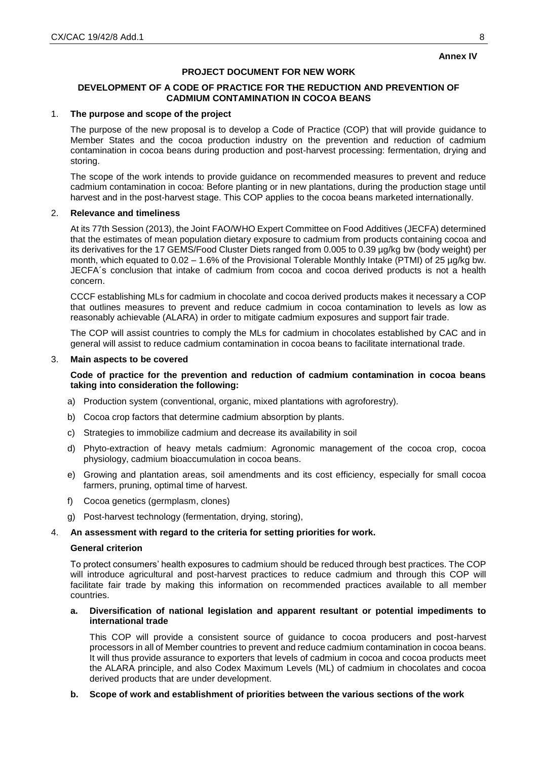### **Annex IV**

### **PROJECT DOCUMENT FOR NEW WORK**

## **DEVELOPMENT OF A CODE OF PRACTICE FOR THE REDUCTION AND PREVENTION OF CADMIUM CONTAMINATION IN COCOA BEANS**

#### 1. **The purpose and scope of the project**

The purpose of the new proposal is to develop a Code of Practice (COP) that will provide guidance to Member States and the cocoa production industry on the prevention and reduction of cadmium contamination in cocoa beans during production and post-harvest processing: fermentation, drying and storing.

The scope of the work intends to provide guidance on recommended measures to prevent and reduce cadmium contamination in cocoa: Before planting or in new plantations, during the production stage until harvest and in the post-harvest stage. This COP applies to the cocoa beans marketed internationally.

## 2. **Relevance and timeliness**

At its 77th Session (2013), the Joint FAO/WHO Expert Committee on Food Additives (JECFA) determined that the estimates of mean population dietary exposure to cadmium from products containing cocoa and its derivatives for the 17 GEMS/Food Cluster Diets ranged from 0.005 to 0.39 µg/kg bw (body weight) per month, which equated to  $0.02 - 1.6\%$  of the Provisional Tolerable Monthly Intake (PTMI) of 25  $\mu$ g/kg bw. JECFA´s conclusion that intake of cadmium from cocoa and cocoa derived products is not a health concern.

CCCF establishing MLs for cadmium in chocolate and cocoa derived products makes it necessary a COP that outlines measures to prevent and reduce cadmium in cocoa contamination to levels as low as reasonably achievable (ALARA) in order to mitigate cadmium exposures and support fair trade.

The COP will assist countries to comply the MLs for cadmium in chocolates established by CAC and in general will assist to reduce cadmium contamination in cocoa beans to facilitate international trade.

### 3. **Main aspects to be covered**

### **Code of practice for the prevention and reduction of cadmium contamination in cocoa beans taking into consideration the following:**

- a) Production system (conventional, organic, mixed plantations with agroforestry).
- b) Cocoa crop factors that determine cadmium absorption by plants.
- c) Strategies to immobilize cadmium and decrease its availability in soil
- d) Phyto-extraction of heavy metals cadmium: Agronomic management of the cocoa crop, cocoa physiology, cadmium bioaccumulation in cocoa beans.
- e) Growing and plantation areas, soil amendments and its cost efficiency, especially for small cocoa farmers, pruning, optimal time of harvest.
- f) Cocoa genetics (germplasm, clones)
- g) Post-harvest technology (fermentation, drying, storing),

### 4. **An assessment with regard to the criteria for setting priorities for work.**

#### **General criterion**

To protect consumers' health exposures to cadmium should be reduced through best practices. The COP will introduce agricultural and post-harvest practices to reduce cadmium and through this COP will facilitate fair trade by making this information on recommended practices available to all member countries.

### **a. Diversification of national legislation and apparent resultant or potential impediments to international trade**

This COP will provide a consistent source of guidance to cocoa producers and post-harvest processors in all of Member countries to prevent and reduce cadmium contamination in cocoa beans. It will thus provide assurance to exporters that levels of cadmium in cocoa and cocoa products meet the ALARA principle, and also Codex Maximum Levels (ML) of cadmium in chocolates and cocoa derived products that are under development.

## **b. Scope of work and establishment of priorities between the various sections of the work**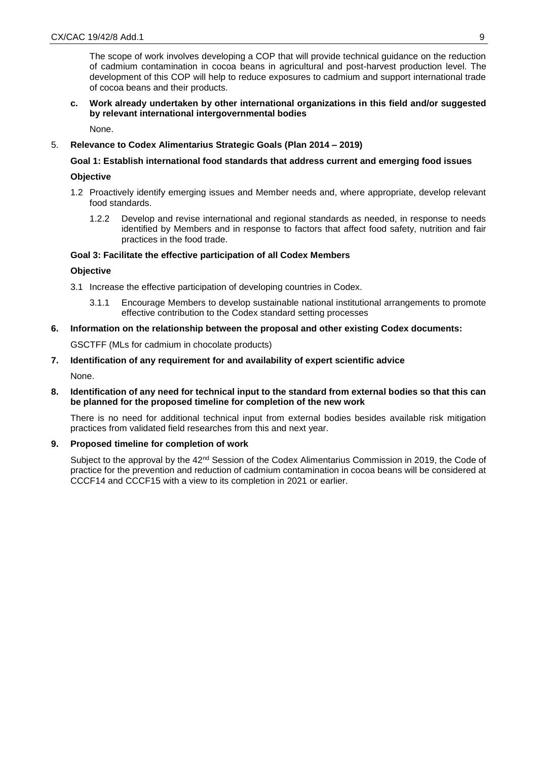The scope of work involves developing a COP that will provide technical guidance on the reduction of cadmium contamination in cocoa beans in agricultural and post-harvest production level. The development of this COP will help to reduce exposures to cadmium and support international trade of cocoa beans and their products.

## **c. Work already undertaken by other international organizations in this field and/or suggested by relevant international intergovernmental bodies**

None.

## 5. **Relevance to Codex Alimentarius Strategic Goals (Plan 2014 – 2019)**

### **Goal 1: Establish international food standards that address current and emerging food issues**

### **Objective**

- 1.2 Proactively identify emerging issues and Member needs and, where appropriate, develop relevant food standards.
	- 1.2.2 Develop and revise international and regional standards as needed, in response to needs identified by Members and in response to factors that affect food safety, nutrition and fair practices in the food trade.

### **Goal 3: Facilitate the effective participation of all Codex Members**

### **Objective**

- 3.1 Increase the effective participation of developing countries in Codex.
	- 3.1.1 Encourage Members to develop sustainable national institutional arrangements to promote effective contribution to the Codex standard setting processes
- **6. Information on the relationship between the proposal and other existing Codex documents:**

GSCTFF (MLs for cadmium in chocolate products)

# **7. Identification of any requirement for and availability of expert scientific advice**

None.

## **8. Identification of any need for technical input to the standard from external bodies so that this can be planned for the proposed timeline for completion of the new work**

There is no need for additional technical input from external bodies besides available risk mitigation practices from validated field researches from this and next year.

#### **9. Proposed timeline for completion of work**

Subject to the approval by the 42<sup>nd</sup> Session of the Codex Alimentarius Commission in 2019, the Code of practice for the prevention and reduction of cadmium contamination in cocoa beans will be considered at CCCF14 and CCCF15 with a view to its completion in 2021 or earlier.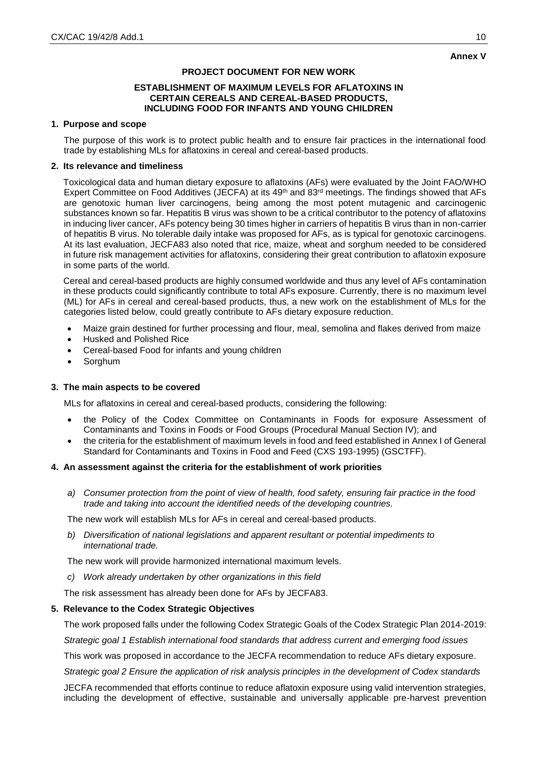### **Annex V**

## **PROJECT DOCUMENT FOR NEW WORK**

#### **ESTABLISHMENT OF MAXIMUM LEVELS FOR AFLATOXINS IN CERTAIN CEREALS AND CEREAL-BASED PRODUCTS, INCLUDING FOOD FOR INFANTS AND YOUNG CHILDREN**

#### **1. Purpose and scope**

The purpose of this work is to protect public health and to ensure fair practices in the international food trade by establishing MLs for aflatoxins in cereal and cereal-based products.

#### **2. Its relevance and timeliness**

Toxicological data and human dietary exposure to aflatoxins (AFs) were evaluated by the Joint FAO/WHO Expert Committee on Food Additives (JECFA) at its 49<sup>th</sup> and 83<sup>rd</sup> meetings. The findings showed that AFs are genotoxic human liver carcinogens, being among the most potent mutagenic and carcinogenic substances known so far. Hepatitis B virus was shown to be a critical contributor to the potency of aflatoxins in inducing liver cancer, AFs potency being 30 times higher in carriers of hepatitis B virus than in non-carrier of hepatitis B virus. No tolerable daily intake was proposed for AFs, as is typical for genotoxic carcinogens. At its last evaluation, JECFA83 also noted that rice, maize, wheat and sorghum needed to be considered in future risk management activities for aflatoxins, considering their great contribution to aflatoxin exposure in some parts of the world.

Cereal and cereal-based products are highly consumed worldwide and thus any level of AFs contamination in these products could significantly contribute to total AFs exposure. Currently, there is no maximum level (ML) for AFs in cereal and cereal-based products, thus, a new work on the establishment of MLs for the categories listed below, could greatly contribute to AFs dietary exposure reduction.

- Maize grain destined for further processing and flour, meal, semolina and flakes derived from maize
- Husked and Polished Rice
- Cereal-based Food for infants and young children
- Sorghum

#### **3. The main aspects to be covered**

MLs for aflatoxins in cereal and cereal-based products, considering the following:

- the Policy of the Codex Committee on Contaminants in Foods for exposure Assessment of Contaminants and Toxins in Foods or Food Groups (Procedural Manual Section IV); and
- the criteria for the establishment of maximum levels in food and feed established in Annex I of General Standard for Contaminants and Toxins in Food and Feed (CXS 193-1995) (GSCTFF).

#### **4. An assessment against the criteria for the establishment of work priorities**

*a) Consumer protection from the point of view of health, food safety, ensuring fair practice in the food trade and taking into account the identified needs of the developing countries.*

The new work will establish MLs for AFs in cereal and cereal-based products.

*b) Diversification of national legislations and apparent resultant or potential impediments to international trade.*

The new work will provide harmonized international maximum levels.

*c) Work already undertaken by other organizations in this field*

The risk assessment has already been done for AFs by JECFA83.

#### **5. Relevance to the Codex Strategic Objectives**

The work proposed falls under the following Codex Strategic Goals of the Codex Strategic Plan 2014-2019:

*Strategic goal 1 Establish international food standards that address current and emerging food issues*

This work was proposed in accordance to the JECFA recommendation to reduce AFs dietary exposure.

*Strategic goal 2 Ensure the application of risk analysis principles in the development of Codex standards*

JECFA recommended that efforts continue to reduce aflatoxin exposure using valid intervention strategies, including the development of effective, sustainable and universally applicable pre-harvest prevention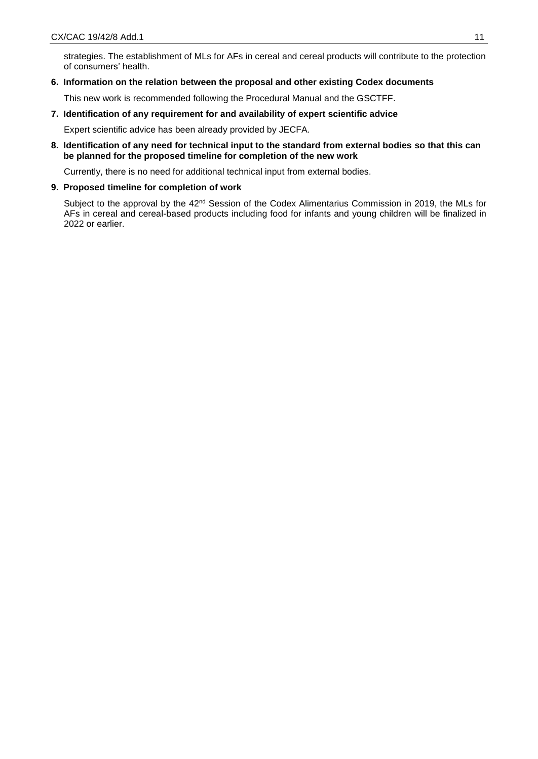strategies. The establishment of MLs for AFs in cereal and cereal products will contribute to the protection of consumers' health.

### **6. Information on the relation between the proposal and other existing Codex documents**

This new work is recommended following the Procedural Manual and the GSCTFF.

## **7. Identification of any requirement for and availability of expert scientific advice**

Expert scientific advice has been already provided by JECFA.

**8. Identification of any need for technical input to the standard from external bodies so that this can be planned for the proposed timeline for completion of the new work**

Currently, there is no need for additional technical input from external bodies.

#### **9. Proposed timeline for completion of work**

Subject to the approval by the 42<sup>nd</sup> Session of the Codex Alimentarius Commission in 2019, the MLs for AFs in cereal and cereal-based products including food for infants and young children will be finalized in 2022 or earlier.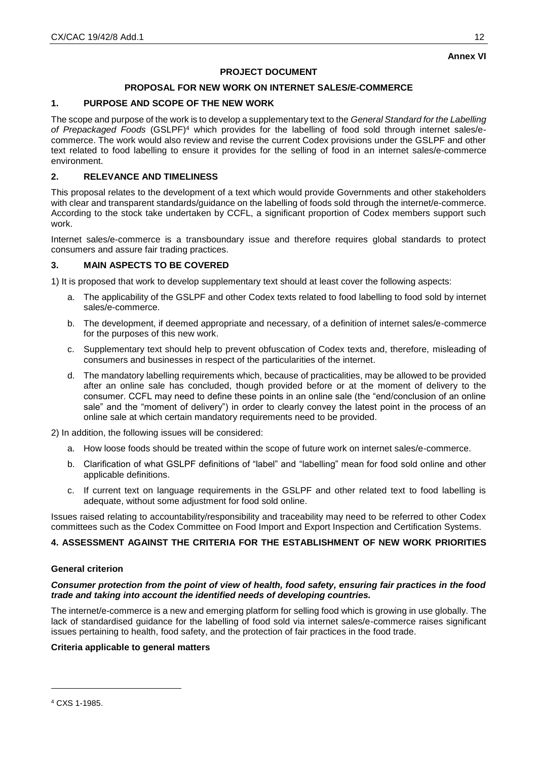# **Annex VI**

## **PROJECT DOCUMENT**

## **PROPOSAL FOR NEW WORK ON INTERNET SALES/E-COMMERCE**

## **1. PURPOSE AND SCOPE OF THE NEW WORK**

The scope and purpose of the work is to develop a supplementary text to the *General Standard for the Labelling of Prepackaged Foods* (GSLPF)<sup>4</sup> which provides for the labelling of food sold through internet sales/ecommerce. The work would also review and revise the current Codex provisions under the GSLPF and other text related to food labelling to ensure it provides for the selling of food in an internet sales/e-commerce environment.

## **2. RELEVANCE AND TIMELINESS**

This proposal relates to the development of a text which would provide Governments and other stakeholders with clear and transparent standards/guidance on the labelling of foods sold through the internet/e-commerce. According to the stock take undertaken by CCFL, a significant proportion of Codex members support such work.

Internet sales/e-commerce is a transboundary issue and therefore requires global standards to protect consumers and assure fair trading practices.

## **3. MAIN ASPECTS TO BE COVERED**

1) It is proposed that work to develop supplementary text should at least cover the following aspects:

- a. The applicability of the GSLPF and other Codex texts related to food labelling to food sold by internet sales/e-commerce.
- b. The development, if deemed appropriate and necessary, of a definition of internet sales/e-commerce for the purposes of this new work.
- c. Supplementary text should help to prevent obfuscation of Codex texts and, therefore, misleading of consumers and businesses in respect of the particularities of the internet.
- d. The mandatory labelling requirements which, because of practicalities, may be allowed to be provided after an online sale has concluded, though provided before or at the moment of delivery to the consumer. CCFL may need to define these points in an online sale (the "end/conclusion of an online sale" and the "moment of delivery") in order to clearly convey the latest point in the process of an online sale at which certain mandatory requirements need to be provided.
- 2) In addition, the following issues will be considered:
	- a. How loose foods should be treated within the scope of future work on internet sales/e-commerce.
	- b. Clarification of what GSLPF definitions of "label" and "labelling" mean for food sold online and other applicable definitions.
	- c. If current text on language requirements in the GSLPF and other related text to food labelling is adequate, without some adjustment for food sold online.

Issues raised relating to accountability/responsibility and traceability may need to be referred to other Codex committees such as the Codex Committee on Food Import and Export Inspection and Certification Systems.

## **4. ASSESSMENT AGAINST THE CRITERIA FOR THE ESTABLISHMENT OF NEW WORK PRIORITIES**

#### **General criterion**

### *Consumer protection from the point of view of health, food safety, ensuring fair practices in the food trade and taking into account the identified needs of developing countries.*

The internet/e-commerce is a new and emerging platform for selling food which is growing in use globally. The lack of standardised guidance for the labelling of food sold via internet sales/e-commerce raises significant issues pertaining to health, food safety, and the protection of fair practices in the food trade.

## **Criteria applicable to general matters**

-

<sup>4</sup> CXS 1-1985.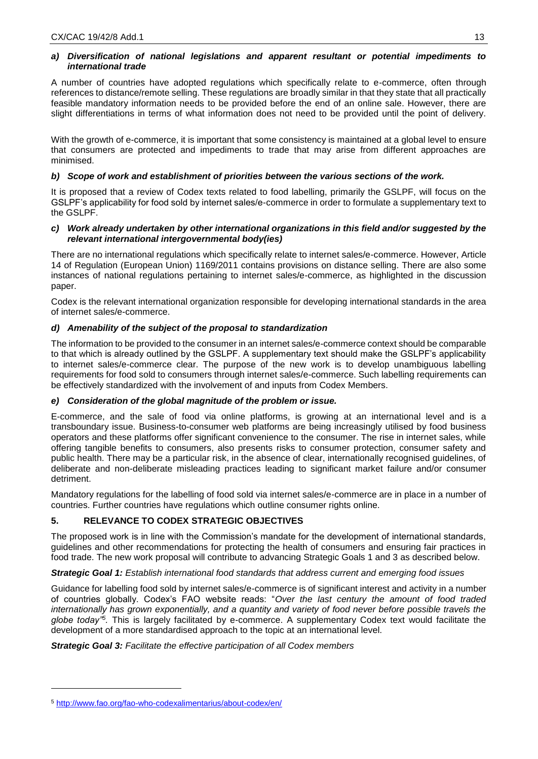## *a) Diversification of national legislations and apparent resultant or potential impediments to international trade*

A number of countries have adopted regulations which specifically relate to e-commerce, often through references to distance/remote selling. These regulations are broadly similar in that they state that all practically feasible mandatory information needs to be provided before the end of an online sale. However, there are slight differentiations in terms of what information does not need to be provided until the point of delivery.

With the growth of e-commerce, it is important that some consistency is maintained at a global level to ensure that consumers are protected and impediments to trade that may arise from different approaches are minimised.

## *b) Scope of work and establishment of priorities between the various sections of the work.*

It is proposed that a review of Codex texts related to food labelling, primarily the GSLPF, will focus on the GSLPF's applicability for food sold by internet sales/e-commerce in order to formulate a supplementary text to the GSLPF.

### *c) Work already undertaken by other international organizations in this field and/or suggested by the relevant international intergovernmental body(ies)*

There are no international regulations which specifically relate to internet sales/e-commerce. However, Article 14 of Regulation (European Union) 1169/2011 contains provisions on distance selling. There are also some instances of national regulations pertaining to internet sales/e-commerce, as highlighted in the discussion paper.

Codex is the relevant international organization responsible for developing international standards in the area of internet sales/e-commerce.

## *d) Amenability of the subject of the proposal to standardization*

The information to be provided to the consumer in an internet sales/e-commerce context should be comparable to that which is already outlined by the GSLPF. A supplementary text should make the GSLPF's applicability to internet sales/e-commerce clear. The purpose of the new work is to develop unambiguous labelling requirements for food sold to consumers through internet sales/e-commerce. Such labelling requirements can be effectively standardized with the involvement of and inputs from Codex Members.

## *e) Consideration of the global magnitude of the problem or issue.*

E-commerce, and the sale of food via online platforms, is growing at an international level and is a transboundary issue. Business-to-consumer web platforms are being increasingly utilised by food business operators and these platforms offer significant convenience to the consumer. The rise in internet sales, while offering tangible benefits to consumers, also presents risks to consumer protection, consumer safety and public health. There may be a particular risk, in the absence of clear, internationally recognised guidelines, of deliberate and non-deliberate misleading practices leading to significant market failure and/or consumer detriment.

Mandatory regulations for the labelling of food sold via internet sales/e-commerce are in place in a number of countries. Further countries have regulations which outline consumer rights online.

# **5. RELEVANCE TO CODEX STRATEGIC OBJECTIVES**

The proposed work is in line with the Commission's mandate for the development of international standards, guidelines and other recommendations for protecting the health of consumers and ensuring fair practices in food trade. The new work proposal will contribute to advancing Strategic Goals 1 and 3 as described below.

*Strategic Goal 1: Establish international food standards that address current and emerging food issues* 

Guidance for labelling food sold by internet sales/e-commerce is of significant interest and activity in a number of countries globally. Codex's FAO website reads: "*Over the last century the amount of food traded internationally has grown exponentially, and a quantity and variety of food never before possible travels the globe today"<sup>5</sup> .* This is largely facilitated by e-commerce. A supplementary Codex text would facilitate the development of a more standardised approach to the topic at an international level.

*Strategic Goal 3: Facilitate the effective participation of all Codex members*

-

<sup>5</sup> <http://www.fao.org/fao-who-codexalimentarius/about-codex/en/>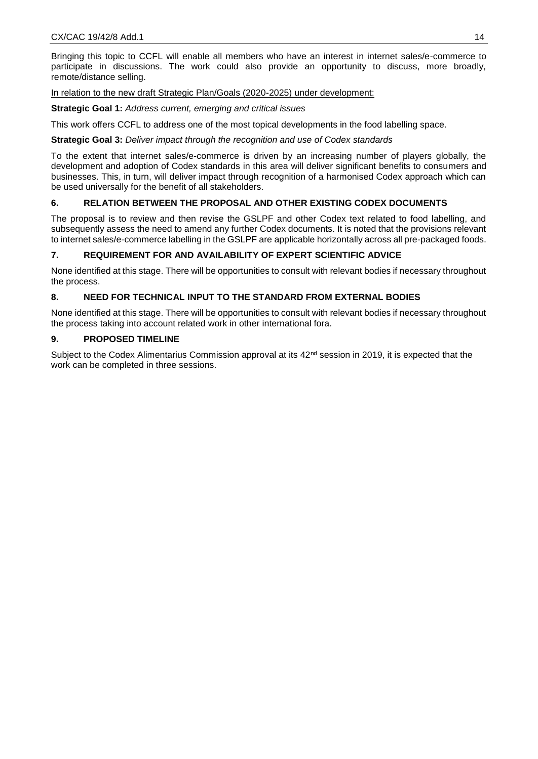Bringing this topic to CCFL will enable all members who have an interest in internet sales/e-commerce to participate in discussions. The work could also provide an opportunity to discuss, more broadly, remote/distance selling.

In relation to the new draft Strategic Plan/Goals (2020-2025) under development:

**Strategic Goal 1:** *Address current, emerging and critical issues*

This work offers CCFL to address one of the most topical developments in the food labelling space.

**Strategic Goal 3:** *Deliver impact through the recognition and use of Codex standards* 

To the extent that internet sales/e-commerce is driven by an increasing number of players globally, the development and adoption of Codex standards in this area will deliver significant benefits to consumers and businesses. This, in turn, will deliver impact through recognition of a harmonised Codex approach which can be used universally for the benefit of all stakeholders.

## **6. RELATION BETWEEN THE PROPOSAL AND OTHER EXISTING CODEX DOCUMENTS**

The proposal is to review and then revise the GSLPF and other Codex text related to food labelling, and subsequently assess the need to amend any further Codex documents. It is noted that the provisions relevant to internet sales/e-commerce labelling in the GSLPF are applicable horizontally across all pre-packaged foods.

## **7. REQUIREMENT FOR AND AVAILABILITY OF EXPERT SCIENTIFIC ADVICE**

None identified at this stage. There will be opportunities to consult with relevant bodies if necessary throughout the process.

## **8. NEED FOR TECHNICAL INPUT TO THE STANDARD FROM EXTERNAL BODIES**

None identified at this stage. There will be opportunities to consult with relevant bodies if necessary throughout the process taking into account related work in other international fora.

## **9. PROPOSED TIMELINE**

Subject to the Codex Alimentarius Commission approval at its  $42^{nd}$  session in 2019, it is expected that the work can be completed in three sessions.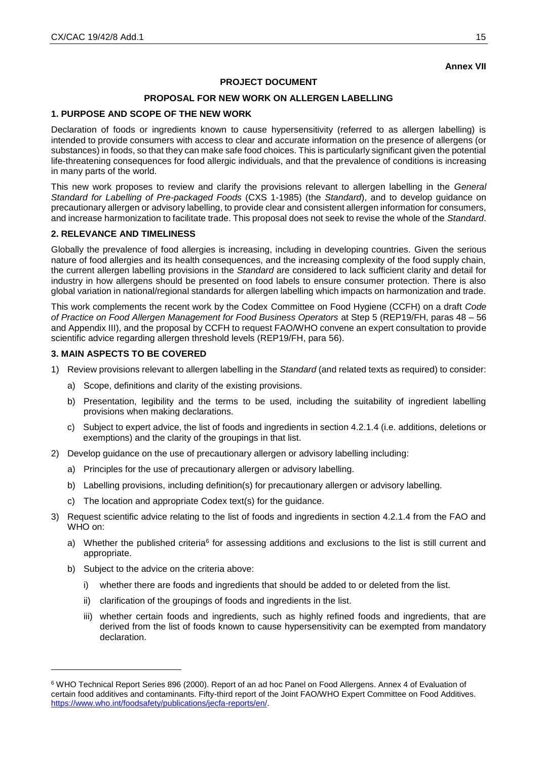# **Annex VII**

## **PROJECT DOCUMENT**

## **PROPOSAL FOR NEW WORK ON ALLERGEN LABELLING**

## **1. PURPOSE AND SCOPE OF THE NEW WORK**

Declaration of foods or ingredients known to cause hypersensitivity (referred to as allergen labelling) is intended to provide consumers with access to clear and accurate information on the presence of allergens (or substances) in foods, so that they can make safe food choices. This is particularly significant given the potential life-threatening consequences for food allergic individuals, and that the prevalence of conditions is increasing in many parts of the world.

This new work proposes to review and clarify the provisions relevant to allergen labelling in the *General Standard for Labelling of Pre-packaged Foods* (CXS 1-1985) (the *Standard*), and to develop guidance on precautionary allergen or advisory labelling, to provide clear and consistent allergen information for consumers, and increase harmonization to facilitate trade. This proposal does not seek to revise the whole of the *Standard*.

## **2. RELEVANCE AND TIMELINESS**

Globally the prevalence of food allergies is increasing, including in developing countries. Given the serious nature of food allergies and its health consequences, and the increasing complexity of the food supply chain, the current allergen labelling provisions in the *Standard* are considered to lack sufficient clarity and detail for industry in how allergens should be presented on food labels to ensure consumer protection. There is also global variation in national/regional standards for allergen labelling which impacts on harmonization and trade.

This work complements the recent work by the Codex Committee on Food Hygiene (CCFH) on a draft *Code of Practice on Food Allergen Management for Food Business Operators* at Step 5 (REP19/FH, paras 48 – 56 and Appendix III), and the proposal by CCFH to request FAO/WHO convene an expert consultation to provide scientific advice regarding allergen threshold levels (REP19/FH, para 56).

## **3. MAIN ASPECTS TO BE COVERED**

- 1) Review provisions relevant to allergen labelling in the *Standard* (and related texts as required) to consider:
	- a) Scope, definitions and clarity of the existing provisions.
	- b) Presentation, legibility and the terms to be used, including the suitability of ingredient labelling provisions when making declarations.
	- c) Subject to expert advice, the list of foods and ingredients in section 4.2.1.4 (i.e. additions, deletions or exemptions) and the clarity of the groupings in that list.
- 2) Develop guidance on the use of precautionary allergen or advisory labelling including:
	- a) Principles for the use of precautionary allergen or advisory labelling.
	- b) Labelling provisions, including definition(s) for precautionary allergen or advisory labelling.
	- c) The location and appropriate Codex text(s) for the guidance.
- 3) Request scientific advice relating to the list of foods and ingredients in section 4.2.1.4 from the FAO and WHO on:
	- a) Whether the published criteria<sup>6</sup> for assessing additions and exclusions to the list is still current and appropriate.
	- b) Subject to the advice on the criteria above:

-

- i) whether there are foods and ingredients that should be added to or deleted from the list.
- ii) clarification of the groupings of foods and ingredients in the list.
- iii) whether certain foods and ingredients, such as highly refined foods and ingredients, that are derived from the list of foods known to cause hypersensitivity can be exempted from mandatory declaration.

<sup>6</sup> WHO Technical Report Series 896 (2000). Report of an ad hoc Panel on Food Allergens. Annex 4 of Evaluation of certain food additives and contaminants. Fifty-third report of the Joint FAO/WHO Expert Committee on Food Additives. [https://www.who.int/foodsafety/publications/jecfa-reports/en/.](https://www.who.int/foodsafety/publications/jecfa-reports/en/)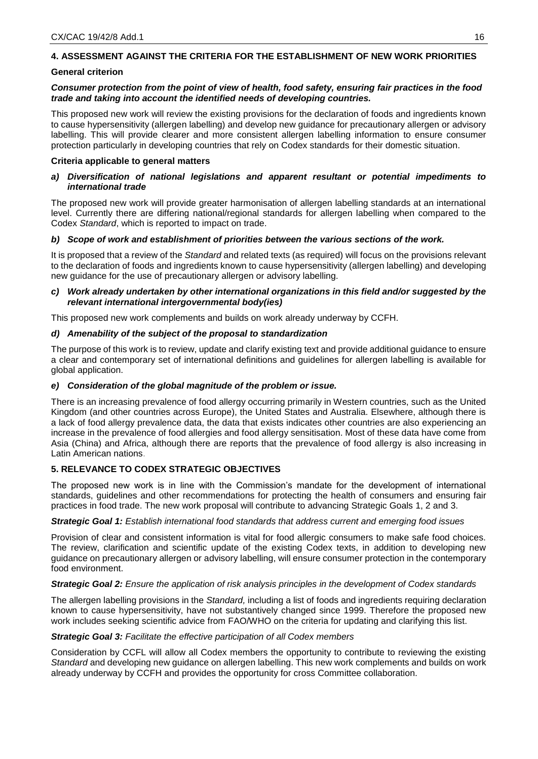# **4. ASSESSMENT AGAINST THE CRITERIA FOR THE ESTABLISHMENT OF NEW WORK PRIORITIES**

#### **General criterion**

### *Consumer protection from the point of view of health, food safety, ensuring fair practices in the food trade and taking into account the identified needs of developing countries.*

This proposed new work will review the existing provisions for the declaration of foods and ingredients known to cause hypersensitivity (allergen labelling) and develop new guidance for precautionary allergen or advisory labelling. This will provide clearer and more consistent allergen labelling information to ensure consumer protection particularly in developing countries that rely on Codex standards for their domestic situation.

#### **Criteria applicable to general matters**

### *a) Diversification of national legislations and apparent resultant or potential impediments to international trade*

The proposed new work will provide greater harmonisation of allergen labelling standards at an international level. Currently there are differing national/regional standards for allergen labelling when compared to the Codex *Standard*, which is reported to impact on trade.

#### *b) Scope of work and establishment of priorities between the various sections of the work.*

It is proposed that a review of the *Standard* and related texts (as required) will focus on the provisions relevant to the declaration of foods and ingredients known to cause hypersensitivity (allergen labelling) and developing new guidance for the use of precautionary allergen or advisory labelling.

### *c) Work already undertaken by other international organizations in this field and/or suggested by the relevant international intergovernmental body(ies)*

This proposed new work complements and builds on work already underway by CCFH*.*

#### *d) Amenability of the subject of the proposal to standardization*

The purpose of this work is to review, update and clarify existing text and provide additional guidance to ensure a clear and contemporary set of international definitions and guidelines for allergen labelling is available for global application.

## *e) Consideration of the global magnitude of the problem or issue.*

There is an increasing prevalence of food allergy occurring primarily in Western countries, such as the United Kingdom (and other countries across Europe), the United States and Australia. Elsewhere, although there is a lack of food allergy prevalence data, the data that exists indicates other countries are also experiencing an increase in the prevalence of food allergies and food allergy sensitisation. Most of these data have come from Asia (China) and Africa, although there are reports that the prevalence of food allergy is also increasing in Latin American nations.

## **5. RELEVANCE TO CODEX STRATEGIC OBJECTIVES**

The proposed new work is in line with the Commission's mandate for the development of international standards, guidelines and other recommendations for protecting the health of consumers and ensuring fair practices in food trade. The new work proposal will contribute to advancing Strategic Goals 1, 2 and 3.

#### *Strategic Goal 1: Establish international food standards that address current and emerging food issues*

Provision of clear and consistent information is vital for food allergic consumers to make safe food choices. The review, clarification and scientific update of the existing Codex texts, in addition to developing new guidance on precautionary allergen or advisory labelling, will ensure consumer protection in the contemporary food environment.

#### *Strategic Goal 2: Ensure the application of risk analysis principles in the development of Codex standards*

The allergen labelling provisions in the *Standard,* including a list of foods and ingredients requiring declaration known to cause hypersensitivity, have not substantively changed since 1999. Therefore the proposed new work includes seeking scientific advice from FAO/WHO on the criteria for updating and clarifying this list.

#### *Strategic Goal 3: Facilitate the effective participation of all Codex members*

Consideration by CCFL will allow all Codex members the opportunity to contribute to reviewing the existing *Standard* and developing new guidance on allergen labelling. This new work complements and builds on work already underway by CCFH and provides the opportunity for cross Committee collaboration.